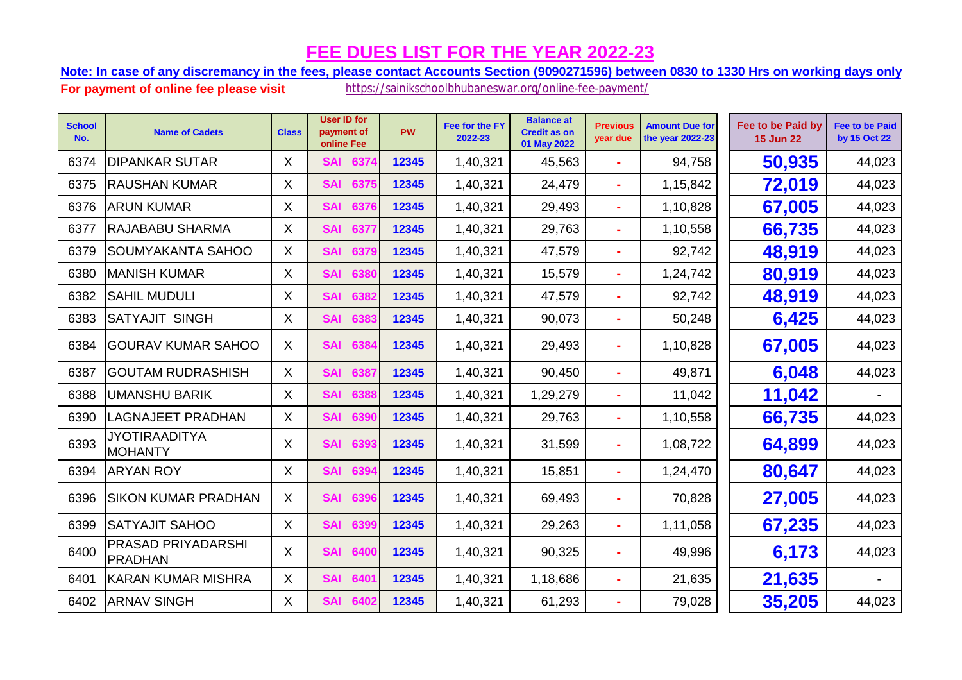**Note: In case of any discremancy in the fees, please contact Accounts Section (9090271596) between 0830 to 1330 Hrs on working days only.**

| <b>School</b><br>No. | <b>Name of Cadets</b>                  | <b>Class</b> | <b>User ID for</b><br>payment of<br>online Fee | <b>PW</b> | Fee for the FY<br>2022-23 | <b>Balance at</b><br><b>Credit as on</b><br>01 May 2022 | <b>Previous</b><br>year due | <b>Amount Due for</b><br>the year 2022-23 | Fee to be Paid by<br><b>15 Jun 22</b> | <b>Fee to be Paid</b><br>by 15 Oct 22 |
|----------------------|----------------------------------------|--------------|------------------------------------------------|-----------|---------------------------|---------------------------------------------------------|-----------------------------|-------------------------------------------|---------------------------------------|---------------------------------------|
| 6374                 | <b>DIPANKAR SUTAR</b>                  | X            | 6374<br><b>SAI</b>                             | 12345     | 1,40,321                  | 45,563                                                  | ÷                           | 94,758                                    | 50,935                                | 44,023                                |
| 6375                 | <b>RAUSHAN KUMAR</b>                   | $\mathsf{X}$ | <b>SAI</b><br>6375                             | 12345     | 1,40,321                  | 24,479                                                  | ÷.                          | 1,15,842                                  | 72,019                                | 44,023                                |
| 6376                 | <b>ARUN KUMAR</b>                      | X            | <b>SAI</b><br>6376                             | 12345     | 1,40,321                  | 29,493                                                  | $\sim$                      | 1,10,828                                  | 67,005                                | 44,023                                |
| 6377                 | RAJABABU SHARMA                        | X            | <b>SAI</b><br>6377                             | 12345     | 1,40,321                  | 29,763                                                  | $\blacksquare$              | 1,10,558                                  | 66,735                                | 44,023                                |
| 6379                 | SOUMYAKANTA SAHOO                      | X            | <b>SAI</b><br>6379                             | 12345     | 1,40,321                  | 47,579                                                  | ÷                           | 92,742                                    | 48,919                                | 44,023                                |
| 6380                 | <b>MANISH KUMAR</b>                    | X            | <b>SAI</b><br>6380                             | 12345     | 1,40,321                  | 15,579                                                  | ۰                           | 1,24,742                                  | 80,919                                | 44,023                                |
| 6382                 | <b>SAHIL MUDULI</b>                    | X            | <b>SAI</b><br>6382                             | 12345     | 1,40,321                  | 47,579                                                  | $\blacksquare$              | 92,742                                    | 48,919                                | 44,023                                |
| 6383                 | <b>SATYAJIT SINGH</b>                  | X            | <b>SAI</b><br>6383                             | 12345     | 1,40,321                  | 90,073                                                  | ÷.                          | 50,248                                    | 6,425                                 | 44,023                                |
| 6384                 | <b>GOURAV KUMAR SAHOO</b>              | X            | <b>SAI</b><br>6384                             | 12345     | 1,40,321                  | 29,493                                                  | ÷                           | 1,10,828                                  | 67,005                                | 44,023                                |
| 6387                 | <b>GOUTAM RUDRASHISH</b>               | $\mathsf{X}$ | <b>SAI</b><br>6387                             | 12345     | 1,40,321                  | 90,450                                                  | $\blacksquare$              | 49,871                                    | 6,048                                 | 44,023                                |
| 6388                 | UMANSHU BARIK                          | X            | <b>SAI</b><br>6388                             | 12345     | 1,40,321                  | 1,29,279                                                |                             | 11,042                                    | 11,042                                |                                       |
| 6390                 | LAGNAJEET PRADHAN                      | X            | <b>SAI</b><br>6390                             | 12345     | 1,40,321                  | 29,763                                                  | ÷                           | 1,10,558                                  | 66,735                                | 44,023                                |
| 6393                 | <b>JYOTIRAADITYA</b><br><b>MOHANTY</b> | X            | <b>SAI</b><br>6393                             | 12345     | 1,40,321                  | 31,599                                                  |                             | 1,08,722                                  | 64,899                                | 44,023                                |
| 6394                 | <b>ARYAN ROY</b>                       | X            | <b>SAI</b><br>6394                             | 12345     | 1,40,321                  | 15,851                                                  | ÷.                          | 1,24,470                                  | 80,647                                | 44,023                                |
| 6396                 | SIKON KUMAR PRADHAN                    | X            | <b>SAI</b><br>6396                             | 12345     | 1,40,321                  | 69,493                                                  | ٠                           | 70,828                                    | 27,005                                | 44,023                                |
| 6399                 | <b>SATYAJIT SAHOO</b>                  | X            | <b>SAI</b><br>6399                             | 12345     | 1,40,321                  | 29,263                                                  | ÷.                          | 1,11,058                                  | 67,235                                | 44,023                                |
| 6400                 | PRASAD PRIYADARSHI<br><b>PRADHAN</b>   | X            | <b>SAI</b><br>6400                             | 12345     | 1,40,321                  | 90,325                                                  | ۰                           | 49,996                                    | 6,173                                 | 44,023                                |
| 6401                 | <b>KARAN KUMAR MISHRA</b>              | X            | <b>SAI</b><br>6401                             | 12345     | 1,40,321                  | 1,18,686                                                | $\blacksquare$              | 21,635                                    | 21,635                                |                                       |
| 6402                 | <b>ARNAV SINGH</b>                     | X            | <b>SAI</b><br>6402                             | 12345     | 1,40,321                  | 61,293                                                  |                             | 79,028                                    | 35,205                                | 44,023                                |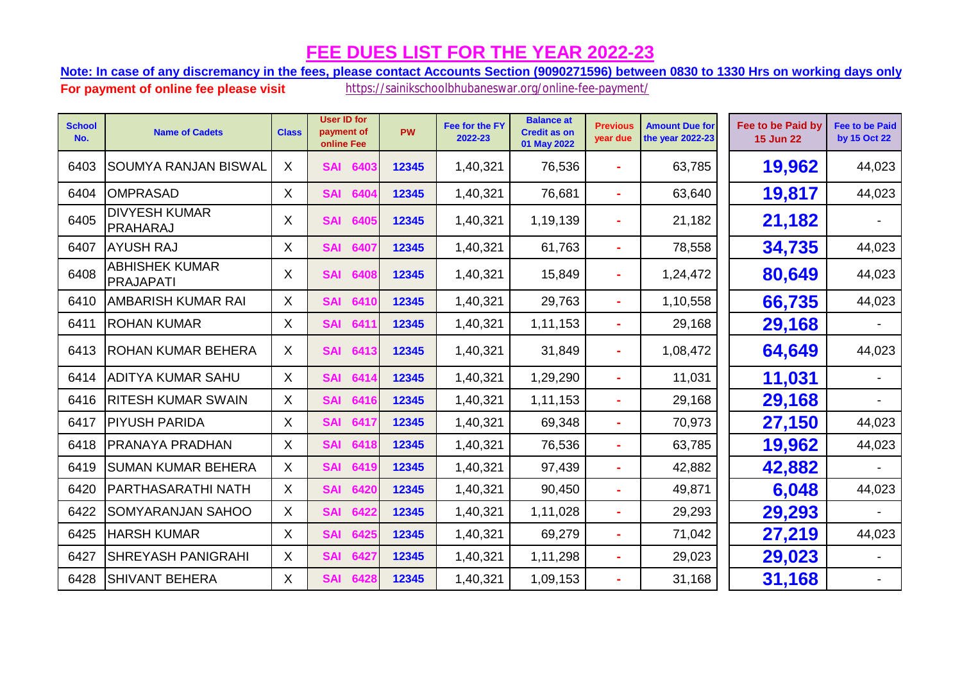**Note: In case of any discremancy in the fees, please contact Accounts Section (9090271596) between 0830 to 1330 Hrs on working days only.**

| <b>School</b><br>No. | <b>Name of Cadets</b>                   | <b>Class</b> | <b>User ID for</b><br>payment of<br>online Fee | <b>PW</b> | Fee for the FY<br>2022-23 | <b>Balance at</b><br><b>Credit as on</b><br>01 May 2022 | <b>Previous</b><br>year due | <b>Amount Due for</b><br>the year 2022-23 | Fee to be Paid by<br><b>15 Jun 22</b> | <b>Fee to be Paid</b><br>by 15 Oct 22 |
|----------------------|-----------------------------------------|--------------|------------------------------------------------|-----------|---------------------------|---------------------------------------------------------|-----------------------------|-------------------------------------------|---------------------------------------|---------------------------------------|
| 6403                 | <b>SOUMYA RANJAN BISWAL</b>             | X            | <b>SAI</b><br>6403                             | 12345     | 1,40,321                  | 76,536                                                  | ×.                          | 63,785                                    | 19,962                                | 44,023                                |
| 6404                 | <b>OMPRASAD</b>                         | $\sf X$      | <b>SAI</b><br>6404                             | 12345     | 1,40,321                  | 76,681                                                  | ÷                           | 63,640                                    | 19,817                                | 44,023                                |
| 6405                 | <b>DIVYESH KUMAR</b><br><b>PRAHARAJ</b> | X            | <b>SAI</b><br>6405                             | 12345     | 1,40,321                  | 1,19,139                                                |                             | 21,182                                    | 21,182                                |                                       |
| 6407                 | <b>AYUSH RAJ</b>                        | X            | <b>SAI</b><br>6407                             | 12345     | 1,40,321                  | 61,763                                                  |                             | 78,558                                    | 34,735                                | 44,023                                |
| 6408                 | ABHISHEK KUMAR<br><b>PRAJAPATI</b>      | X            | <b>SAI</b><br>6408                             | 12345     | 1,40,321                  | 15,849                                                  | ÷                           | 1,24,472                                  | 80,649                                | 44,023                                |
| 6410                 | <b>AMBARISH KUMAR RAI</b>               | $\sf X$      | <b>SAI</b><br>6410                             | 12345     | 1,40,321                  | 29,763                                                  |                             | 1,10,558                                  | 66,735                                | 44,023                                |
| 6411                 | <b>ROHAN KUMAR</b>                      | $\sf X$      | <b>SAI</b><br>6411                             | 12345     | 1,40,321                  | 1,11,153                                                |                             | 29,168                                    | 29,168                                |                                       |
| 6413                 | <b>ROHAN KUMAR BEHERA</b>               | X            | <b>SAI</b><br>6413                             | 12345     | 1,40,321                  | 31,849                                                  | $\blacksquare$              | 1,08,472                                  | 64,649                                | 44,023                                |
| 6414                 | <b>ADITYA KUMAR SAHU</b>                | $\mathsf{X}$ | <b>SAI</b><br>6414                             | 12345     | 1,40,321                  | 1,29,290                                                | $\blacksquare$              | 11,031                                    | 11,031                                |                                       |
| 6416                 | <b>RITESH KUMAR SWAIN</b>               | X            | <b>SAI</b><br>6416                             | 12345     | 1,40,321                  | 1,11,153                                                | ÷.                          | 29,168                                    | 29,168                                |                                       |
| 6417                 | <b>PIYUSH PARIDA</b>                    | X            | <b>SAI</b><br>6417                             | 12345     | 1,40,321                  | 69,348                                                  |                             | 70,973                                    | 27,150                                | 44,023                                |
| 6418                 | <b>PRANAYA PRADHAN</b>                  | X            | <b>SAI</b><br>6418                             | 12345     | 1,40,321                  | 76,536                                                  |                             | 63,785                                    | 19,962                                | 44,023                                |
| 6419                 | <b>SUMAN KUMAR BEHERA</b>               | X            | <b>SAI</b><br>6419                             | 12345     | 1,40,321                  | 97,439                                                  |                             | 42,882                                    | 42,882                                |                                       |
| 6420                 | <b>PARTHASARATHI NATH</b>               | X            | <b>SAI</b><br>6420                             | 12345     | 1,40,321                  | 90,450                                                  | ÷                           | 49,871                                    | 6,048                                 | 44,023                                |
| 6422                 | <b>SOMYARANJAN SAHOO</b>                | X            | <b>SAI</b><br>6422                             | 12345     | 1,40,321                  | 1,11,028                                                | $\blacksquare$              | 29,293                                    | 29,293                                |                                       |
| 6425                 | <b>HARSH KUMAR</b>                      | X            | <b>SAI</b><br>6425                             | 12345     | 1,40,321                  | 69,279                                                  | $\blacksquare$              | 71,042                                    | 27,219                                | 44,023                                |
| 6427                 | <b>SHREYASH PANIGRAHI</b>               | X            | <b>SAI</b><br>6427                             | 12345     | 1,40,321                  | 1,11,298                                                |                             | 29,023                                    | 29,023                                |                                       |
| 6428                 | <b>SHIVANT BEHERA</b>                   | X            | <b>SAI</b><br>6428                             | 12345     | 1,40,321                  | 1,09,153                                                |                             | 31,168                                    | 31,168                                |                                       |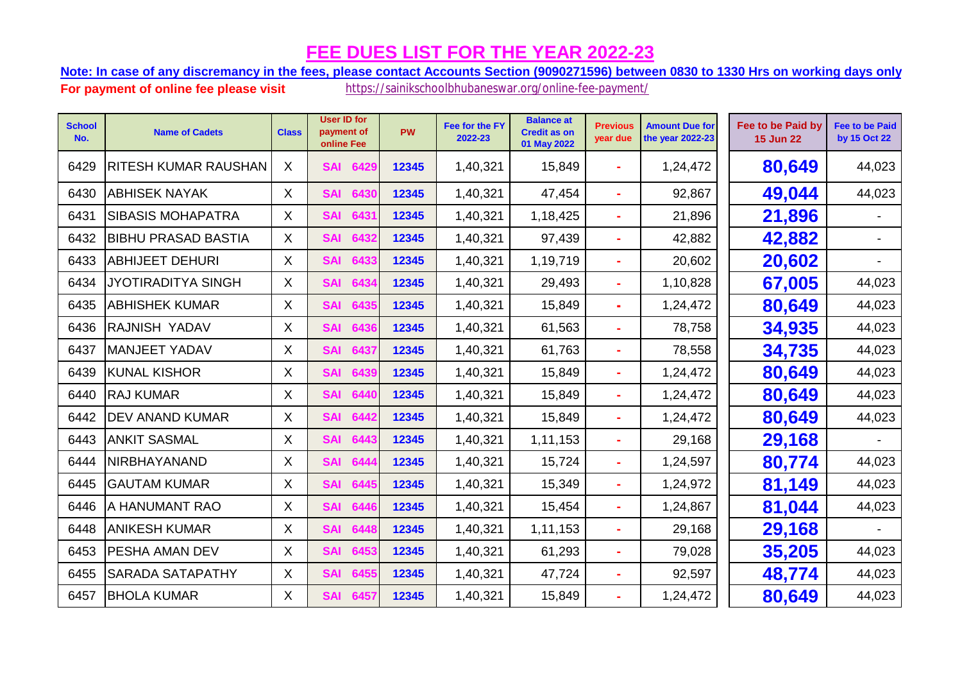**Note: In case of any discremancy in the fees, please contact Accounts Section (9090271596) between 0830 to 1330 Hrs on working days only.**

| <b>School</b><br>No. | <b>Name of Cadets</b>       | <b>Class</b> | <b>User ID for</b><br>payment of<br>online Fee | PW    | Fee for the FY<br>2022-23 | <b>Balance at</b><br><b>Credit as on</b><br>01 May 2022 | <b>Previous</b><br>year due | <b>Amount Due for</b><br>the year 2022-23 | Fee to be Paid by<br><b>15 Jun 22</b> | <b>Fee to be Paid</b><br>by 15 Oct 22 |
|----------------------|-----------------------------|--------------|------------------------------------------------|-------|---------------------------|---------------------------------------------------------|-----------------------------|-------------------------------------------|---------------------------------------|---------------------------------------|
| 6429                 | <b>RITESH KUMAR RAUSHAN</b> | X            | 6429<br><b>SAI</b>                             | 12345 | 1,40,321                  | 15,849                                                  |                             | 1,24,472                                  | 80,649                                | 44,023                                |
| 6430                 | <b>ABHISEK NAYAK</b>        | X            | <b>SAI</b><br>6430                             | 12345 | 1,40,321                  | 47,454                                                  | ÷                           | 92,867                                    | 49,044                                | 44,023                                |
| 6431                 | <b>SIBASIS MOHAPATRA</b>    | X            | <b>SAI</b><br>6431                             | 12345 | 1,40,321                  | 1,18,425                                                | ٠                           | 21,896                                    | 21,896                                |                                       |
| 6432                 | <b>BIBHU PRASAD BASTIA</b>  | X.           | 6432<br><b>SAI</b>                             | 12345 | 1,40,321                  | 97,439                                                  | ٠                           | 42,882                                    | 42,882                                |                                       |
| 6433                 | <b>ABHIJEET DEHURI</b>      | $\mathsf{X}$ | 6433<br><b>SAI</b>                             | 12345 | 1,40,321                  | 1,19,719                                                | ÷                           | 20,602                                    | 20,602                                |                                       |
| 6434                 | <b>JYOTIRADITYA SINGH</b>   | X.           | <b>SAI</b><br>6434                             | 12345 | 1,40,321                  | 29,493                                                  | ÷                           | 1,10,828                                  | 67,005                                | 44,023                                |
| 6435                 | <b>ABHISHEK KUMAR</b>       | X.           | <b>SAI</b><br>6435                             | 12345 | 1,40,321                  | 15,849                                                  | ÷                           | 1,24,472                                  | 80,649                                | 44,023                                |
| 6436                 | <b>RAJNISH YADAV</b>        | X            | <b>SAI</b><br>6436                             | 12345 | 1,40,321                  | 61,563                                                  | ÷                           | 78,758                                    | 34,935                                | 44,023                                |
| 6437                 | <b>MANJEET YADAV</b>        | X.           | 6437<br><b>SAI</b>                             | 12345 | 1,40,321                  | 61,763                                                  | ÷.                          | 78,558                                    | 34,735                                | 44,023                                |
| 6439                 | <b>KUNAL KISHOR</b>         | X            | <b>SAI</b><br>6439                             | 12345 | 1,40,321                  | 15,849                                                  | ۰                           | 1,24,472                                  | 80,649                                | 44,023                                |
| 6440                 | <b>RAJ KUMAR</b>            | X.           | <b>SAI</b><br>6440                             | 12345 | 1,40,321                  | 15,849                                                  | ÷                           | 1,24,472                                  | 80,649                                | 44,023                                |
| 6442                 | <b>DEV ANAND KUMAR</b>      | X            | 6442<br><b>SAI</b>                             | 12345 | 1,40,321                  | 15,849                                                  | ÷                           | 1,24,472                                  | 80,649                                | 44,023                                |
| 6443                 | <b>ANKIT SASMAL</b>         | X            | 6443<br><b>SAI</b>                             | 12345 | 1,40,321                  | 1,11,153                                                | ÷                           | 29,168                                    | 29,168                                |                                       |
| 6444                 | NIRBHAYANAND                | Χ            | <b>SAI</b><br>6444                             | 12345 | 1,40,321                  | 15,724                                                  | ÷                           | 1,24,597                                  | 80,774                                | 44,023                                |
| 6445                 | <b>GAUTAM KUMAR</b>         | X.           | <b>SAI</b><br>6445                             | 12345 | 1,40,321                  | 15,349                                                  | ÷                           | 1,24,972                                  | 81,149                                | 44,023                                |
| 6446                 | A HANUMANT RAO              | X.           | <b>SAI</b><br>6446                             | 12345 | 1,40,321                  | 15,454                                                  | $\blacksquare$              | 1,24,867                                  | 81,044                                | 44,023                                |
| 6448                 | <b>ANIKESH KUMAR</b>        | X            | 6448<br><b>SAI</b>                             | 12345 | 1,40,321                  | 1,11,153                                                | ÷                           | 29,168                                    | 29,168                                |                                       |
| 6453                 | <b>PESHA AMAN DEV</b>       | X            | <b>SAI</b><br>6453                             | 12345 | 1,40,321                  | 61,293                                                  | ۰                           | 79,028                                    | 35,205                                | 44,023                                |
| 6455                 | <b>SARADA SATAPATHY</b>     | X            | <b>SAI</b><br>6455                             | 12345 | 1,40,321                  | 47,724                                                  | ÷.                          | 92,597                                    | 48,774                                | 44,023                                |
| 6457                 | <b>BHOLA KUMAR</b>          | X.           | 6457<br><b>SAI</b>                             | 12345 | 1,40,321                  | 15,849                                                  | ×.                          | 1,24,472                                  | 80,649                                | 44,023                                |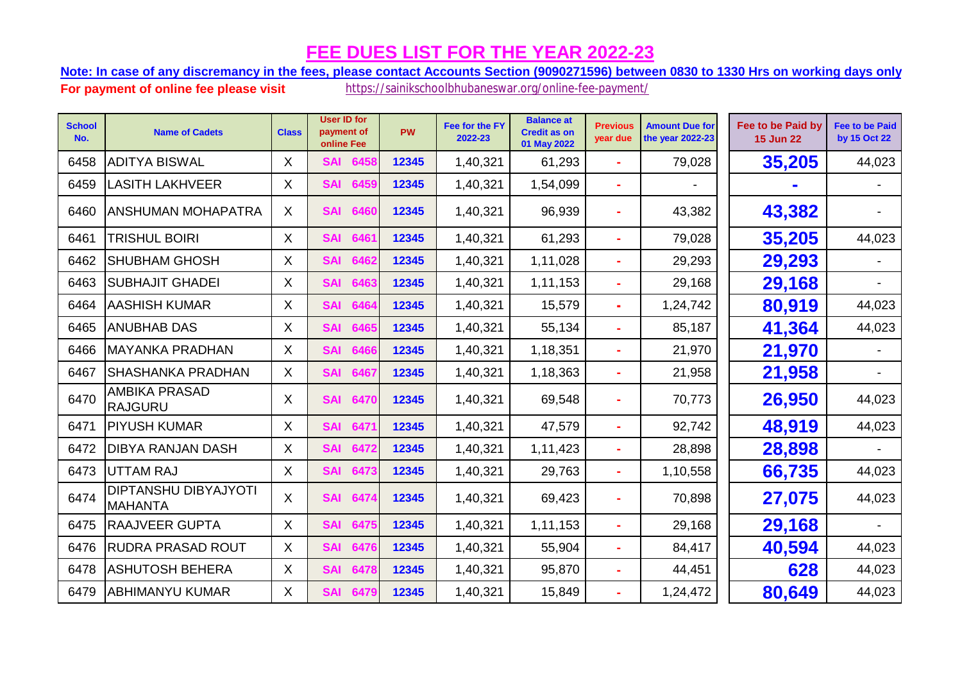**Note: In case of any discremancy in the fees, please contact Accounts Section (9090271596) between 0830 to 1330 Hrs on working days only.**

| <b>School</b><br>No. | <b>Name of Cadets</b>                         | <b>Class</b> | <b>User ID for</b><br>payment of<br>online Fee | <b>PW</b> | Fee for the FY<br>2022-23 | <b>Balance at</b><br><b>Credit as on</b><br>01 May 2022 | <b>Previous</b><br>year due | <b>Amount Due for</b><br>the year 2022-23 | Fee to be Paid by<br><b>15 Jun 22</b> | <b>Fee to be Paid</b><br>by 15 Oct 22 |
|----------------------|-----------------------------------------------|--------------|------------------------------------------------|-----------|---------------------------|---------------------------------------------------------|-----------------------------|-------------------------------------------|---------------------------------------|---------------------------------------|
| 6458                 | <b>ADITYA BISWAL</b>                          | X.           | 6458<br><b>SAI</b>                             | 12345     | 1,40,321                  | 61,293                                                  |                             | 79,028                                    | 35,205                                | 44,023                                |
| 6459                 | <b>LASITH LAKHVEER</b>                        | X.           | <b>SAI</b><br>6459                             | 12345     | 1,40,321                  | 1,54,099                                                |                             |                                           |                                       |                                       |
| 6460                 | <b>ANSHUMAN MOHAPATRA</b>                     | X.           | <b>SAI</b><br>6460                             | 12345     | 1,40,321                  | 96,939                                                  |                             | 43,382                                    | 43,382                                |                                       |
| 6461                 | TRISHUL BOIRI                                 | X.           | <b>SAI</b><br>6461                             | 12345     | 1,40,321                  | 61,293                                                  |                             | 79,028                                    | 35,205                                | 44,023                                |
| 6462                 | <b>SHUBHAM GHOSH</b>                          | X.           | <b>SAI</b><br>6462                             | 12345     | 1,40,321                  | 1,11,028                                                |                             | 29,293                                    | 29,293                                |                                       |
| 6463                 | <b>SUBHAJIT GHADEI</b>                        | X.           | <b>SAI</b><br>6463                             | 12345     | 1,40,321                  | 1,11,153                                                |                             | 29,168                                    | 29,168                                |                                       |
| 6464                 | <b>AASHISH KUMAR</b>                          | X            | <b>SAI</b><br>6464                             | 12345     | 1,40,321                  | 15,579                                                  |                             | 1,24,742                                  | 80,919                                | 44,023                                |
| 6465                 | <b>ANUBHAB DAS</b>                            | X            | <b>SAI</b><br>6465                             | 12345     | 1,40,321                  | 55,134                                                  |                             | 85,187                                    | 41,364                                | 44,023                                |
| 6466                 | <b>MAYANKA PRADHAN</b>                        | X            | <b>SAI</b><br>6466                             | 12345     | 1,40,321                  | 1,18,351                                                |                             | 21,970                                    | 21,970                                |                                       |
| 6467                 | <b>SHASHANKA PRADHAN</b>                      | X            | <b>SAI</b><br>6467                             | 12345     | 1,40,321                  | 1,18,363                                                |                             | 21,958                                    | 21,958                                |                                       |
| 6470                 | <b>AMBIKA PRASAD</b><br><b>RAJGURU</b>        | X.           | <b>SAI</b><br>6470                             | 12345     | 1,40,321                  | 69,548                                                  |                             | 70,773                                    | 26,950                                | 44,023                                |
| 6471                 | <b>PIYUSH KUMAR</b>                           | X.           | <b>SAI</b><br>6471                             | 12345     | 1,40,321                  | 47,579                                                  |                             | 92,742                                    | 48,919                                | 44,023                                |
| 6472                 | <b>DIBYA RANJAN DASH</b>                      | X.           | <b>SAI</b><br>6472                             | 12345     | 1,40,321                  | 1,11,423                                                |                             | 28,898                                    | 28,898                                |                                       |
| 6473                 | <b>UTTAM RAJ</b>                              | X            | <b>SAI</b><br>6473                             | 12345     | 1,40,321                  | 29,763                                                  | ÷                           | 1,10,558                                  | 66,735                                | 44,023                                |
| 6474                 | <b>DIPTANSHU DIBYAJYOTI</b><br><b>MAHANTA</b> | X.           | <b>SAI</b><br>6474                             | 12345     | 1,40,321                  | 69,423                                                  |                             | 70,898                                    | 27,075                                | 44,023                                |
| 6475                 | <b>RAAJVEER GUPTA</b>                         | X.           | <b>SAI</b><br>6475                             | 12345     | 1,40,321                  | 1,11,153                                                |                             | 29,168                                    | 29,168                                |                                       |
| 6476                 | <b>RUDRA PRASAD ROUT</b>                      | X            | <b>SAI</b><br>6476                             | 12345     | 1,40,321                  | 55,904                                                  |                             | 84,417                                    | 40,594                                | 44,023                                |
| 6478                 | <b>ASHUTOSH BEHERA</b>                        | X            | <b>SAI</b><br>647                              | 12345     | 1,40,321                  | 95,870                                                  |                             | 44,451                                    | 628                                   | 44,023                                |
| 6479                 | <b>ABHIMANYU KUMAR</b>                        | X.           | <b>SAI</b><br>6479                             | 12345     | 1,40,321                  | 15,849                                                  |                             | 1,24,472                                  | 80,649                                | 44,023                                |